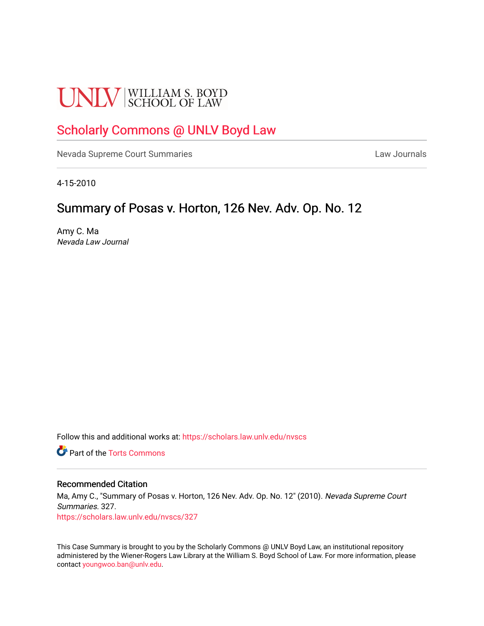# **UNLV** SCHOOL OF LAW

# [Scholarly Commons @ UNLV Boyd Law](https://scholars.law.unlv.edu/)

[Nevada Supreme Court Summaries](https://scholars.law.unlv.edu/nvscs) **Law Journals** Law Journals

4-15-2010

# Summary of Posas v. Horton, 126 Nev. Adv. Op. No. 12

Amy C. Ma Nevada Law Journal

Follow this and additional works at: [https://scholars.law.unlv.edu/nvscs](https://scholars.law.unlv.edu/nvscs?utm_source=scholars.law.unlv.edu%2Fnvscs%2F327&utm_medium=PDF&utm_campaign=PDFCoverPages)

**C** Part of the [Torts Commons](http://network.bepress.com/hgg/discipline/913?utm_source=scholars.law.unlv.edu%2Fnvscs%2F327&utm_medium=PDF&utm_campaign=PDFCoverPages)

#### Recommended Citation

Ma, Amy C., "Summary of Posas v. Horton, 126 Nev. Adv. Op. No. 12" (2010). Nevada Supreme Court Summaries. 327. [https://scholars.law.unlv.edu/nvscs/327](https://scholars.law.unlv.edu/nvscs/327?utm_source=scholars.law.unlv.edu%2Fnvscs%2F327&utm_medium=PDF&utm_campaign=PDFCoverPages)

This Case Summary is brought to you by the Scholarly Commons @ UNLV Boyd Law, an institutional repository administered by the Wiener-Rogers Law Library at the William S. Boyd School of Law. For more information, please contact [youngwoo.ban@unlv.edu](mailto:youngwoo.ban@unlv.edu).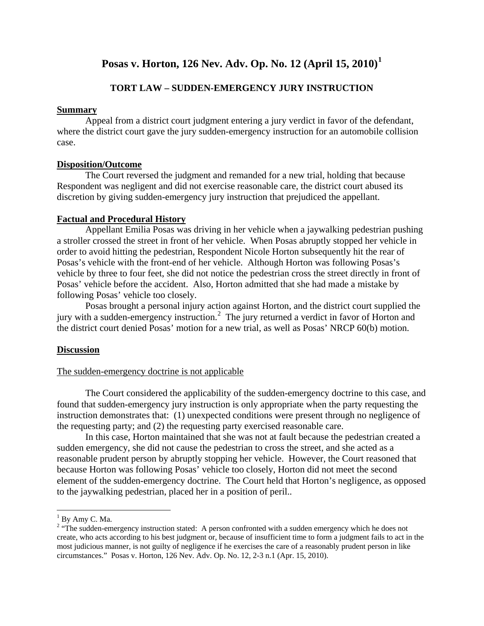# **Posas v. Horton, 126 Nev. Adv. Op. No. 12 (April 15, 2010)[1](#page-1-0)**

## **TORT LAW – SUDDEN-EMERGENCY JURY INSTRUCTION**

#### **Summary**

Appeal from a district court judgment entering a jury verdict in favor of the defendant, where the district court gave the jury sudden-emergency instruction for an automobile collision case.

## **Disposition/Outcome**

The Court reversed the judgment and remanded for a new trial, holding that because Respondent was negligent and did not exercise reasonable care, the district court abused its discretion by giving sudden-emergency jury instruction that prejudiced the appellant.

## **Factual and Procedural History**

Appellant Emilia Posas was driving in her vehicle when a jaywalking pedestrian pushing a stroller crossed the street in front of her vehicle. When Posas abruptly stopped her vehicle in order to avoid hitting the pedestrian, Respondent Nicole Horton subsequently hit the rear of Posas's vehicle with the front-end of her vehicle. Although Horton was following Posas's vehicle by three to four feet, she did not notice the pedestrian cross the street directly in front of Posas' vehicle before the accident. Also, Horton admitted that she had made a mistake by following Posas' vehicle too closely.

Posas brought a personal injury action against Horton, and the district court supplied the jury with a sudden-emergency instruction.<sup>[2](#page-1-1)</sup> The jury returned a verdict in favor of Horton and the district court denied Posas' motion for a new trial, as well as Posas' NRCP 60(b) motion.

## **Discussion**

## The sudden-emergency doctrine is not applicable

The Court considered the applicability of the sudden-emergency doctrine to this case, and found that sudden-emergency jury instruction is only appropriate when the party requesting the instruction demonstrates that: (1) unexpected conditions were present through no negligence of the requesting party; and (2) the requesting party exercised reasonable care.

In this case, Horton maintained that she was not at fault because the pedestrian created a sudden emergency, she did not cause the pedestrian to cross the street, and she acted as a reasonable prudent person by abruptly stopping her vehicle. However, the Court reasoned that because Horton was following Posas' vehicle too closely, Horton did not meet the second element of the sudden-emergency doctrine. The Court held that Horton's negligence, as opposed to the jaywalking pedestrian, placed her in a position of peril..

<span id="page-1-1"></span><span id="page-1-0"></span><sup>&</sup>lt;sup>1</sup> By Amy C. Ma.<br><sup>2</sup> "The sudden-emergency instruction stated: A person confronted with a sudden emergency which he does not create, who acts according to his best judgment or, because of insufficient time to form a judgment fails to act in the most judicious manner, is not guilty of negligence if he exercises the care of a reasonably prudent person in like circumstances." Posas v. Horton, 126 Nev. Adv. Op. No. 12, 2-3 n.1 (Apr. 15, 2010).